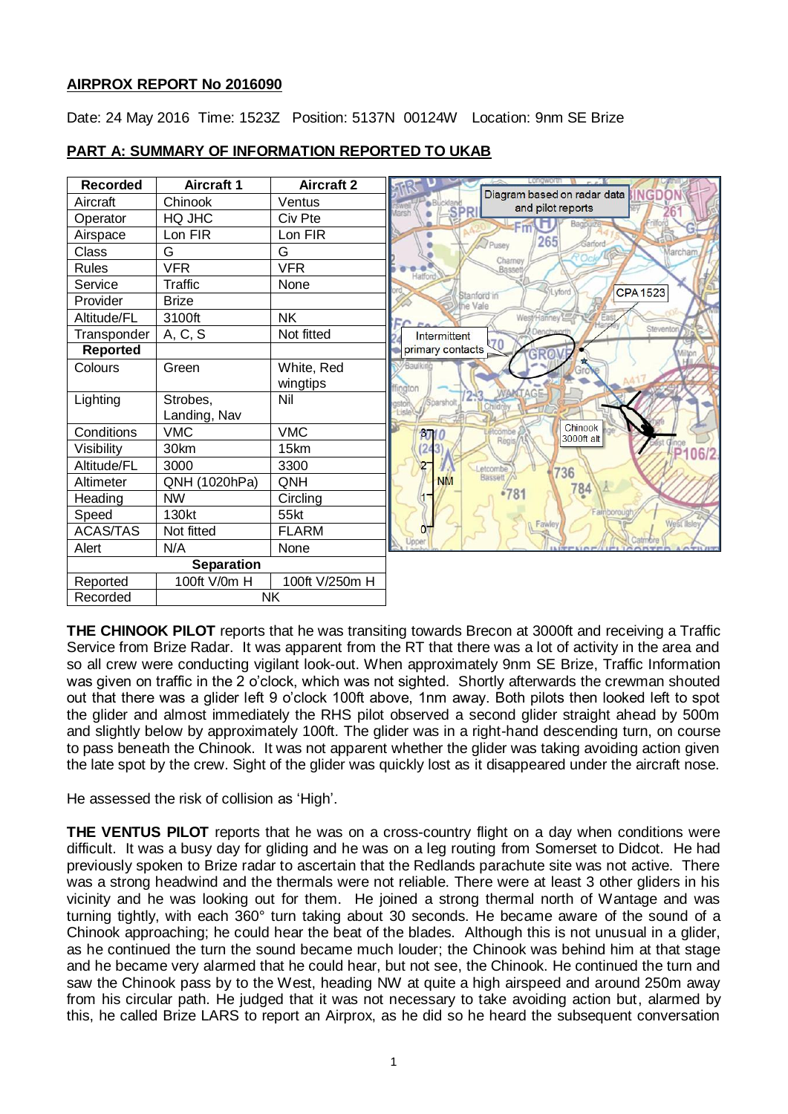### **AIRPROX REPORT No 2016090**

Date: 24 May 2016 Time: 1523Z Position: 5137N 00124W Location: 9nm SE Brize



## **PART A: SUMMARY OF INFORMATION REPORTED TO UKAB**

**THE CHINOOK PILOT** reports that he was transiting towards Brecon at 3000ft and receiving a Traffic Service from Brize Radar. It was apparent from the RT that there was a lot of activity in the area and so all crew were conducting vigilant look-out. When approximately 9nm SE Brize, Traffic Information was given on traffic in the 2 o'clock, which was not sighted. Shortly afterwards the crewman shouted out that there was a glider left 9 o'clock 100ft above, 1nm away. Both pilots then looked left to spot the glider and almost immediately the RHS pilot observed a second glider straight ahead by 500m and slightly below by approximately 100ft. The glider was in a right-hand descending turn, on course to pass beneath the Chinook. It was not apparent whether the glider was taking avoiding action given the late spot by the crew. Sight of the glider was quickly lost as it disappeared under the aircraft nose.

He assessed the risk of collision as 'High'.

**THE VENTUS PILOT** reports that he was on a cross-country flight on a day when conditions were difficult. It was a busy day for gliding and he was on a leg routing from Somerset to Didcot. He had previously spoken to Brize radar to ascertain that the Redlands parachute site was not active. There was a strong headwind and the thermals were not reliable. There were at least 3 other gliders in his vicinity and he was looking out for them. He joined a strong thermal north of Wantage and was turning tightly, with each 360° turn taking about 30 seconds. He became aware of the sound of a Chinook approaching; he could hear the beat of the blades. Although this is not unusual in a glider, as he continued the turn the sound became much louder; the Chinook was behind him at that stage and he became very alarmed that he could hear, but not see, the Chinook. He continued the turn and saw the Chinook pass by to the West, heading NW at quite a high airspeed and around 250m away from his circular path. He judged that it was not necessary to take avoiding action but, alarmed by this, he called Brize LARS to report an Airprox, as he did so he heard the subsequent conversation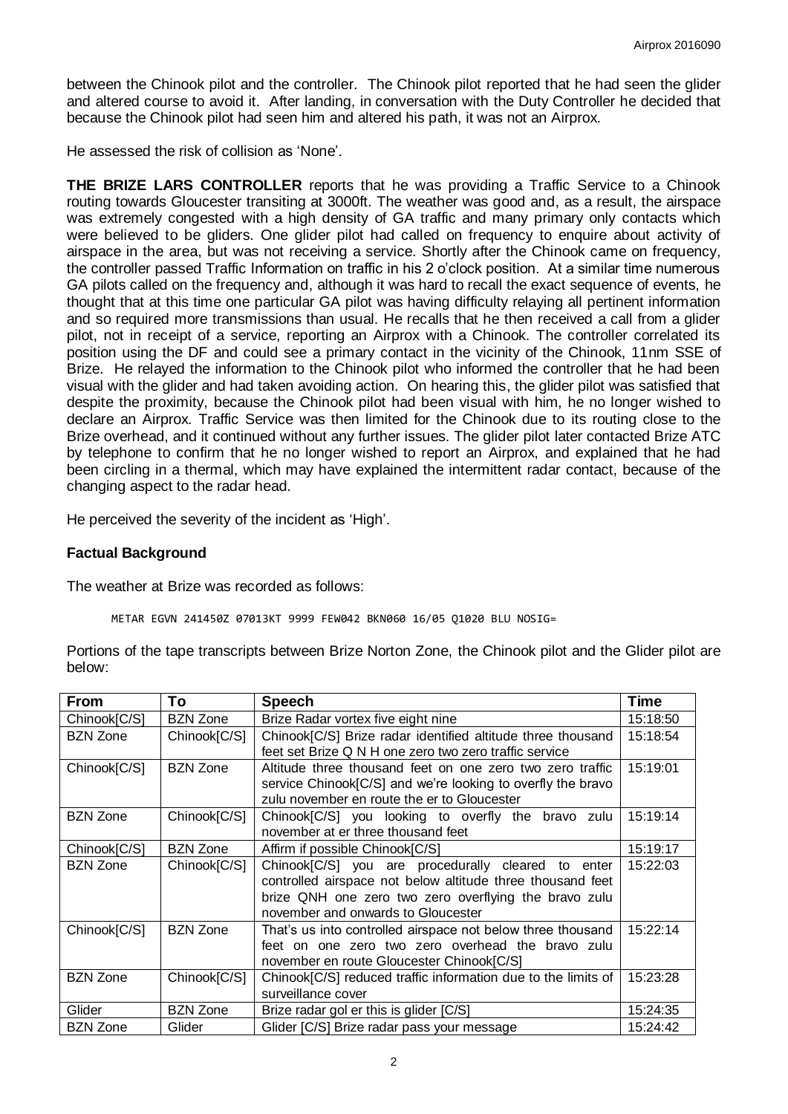between the Chinook pilot and the controller. The Chinook pilot reported that he had seen the glider and altered course to avoid it. After landing, in conversation with the Duty Controller he decided that because the Chinook pilot had seen him and altered his path, it was not an Airprox.

He assessed the risk of collision as 'None'.

**THE BRIZE LARS CONTROLLER** reports that he was providing a Traffic Service to a Chinook routing towards Gloucester transiting at 3000ft. The weather was good and, as a result, the airspace was extremely congested with a high density of GA traffic and many primary only contacts which were believed to be gliders. One glider pilot had called on frequency to enquire about activity of airspace in the area, but was not receiving a service. Shortly after the Chinook came on frequency, the controller passed Traffic Information on traffic in his 2 o'clock position. At a similar time numerous GA pilots called on the frequency and, although it was hard to recall the exact sequence of events, he thought that at this time one particular GA pilot was having difficulty relaying all pertinent information and so required more transmissions than usual. He recalls that he then received a call from a glider pilot, not in receipt of a service, reporting an Airprox with a Chinook. The controller correlated its position using the DF and could see a primary contact in the vicinity of the Chinook, 11nm SSE of Brize. He relayed the information to the Chinook pilot who informed the controller that he had been visual with the glider and had taken avoiding action. On hearing this, the glider pilot was satisfied that despite the proximity, because the Chinook pilot had been visual with him, he no longer wished to declare an Airprox. Traffic Service was then limited for the Chinook due to its routing close to the Brize overhead, and it continued without any further issues. The glider pilot later contacted Brize ATC by telephone to confirm that he no longer wished to report an Airprox, and explained that he had been circling in a thermal, which may have explained the intermittent radar contact, because of the changing aspect to the radar head.

He perceived the severity of the incident as 'High'.

### **Factual Background**

The weather at Brize was recorded as follows:

METAR EGVN 241450Z 07013KT 9999 FEW042 BKN060 16/05 Q1020 BLU NOSIG=

Portions of the tape transcripts between Brize Norton Zone, the Chinook pilot and the Glider pilot are below:

| <b>From</b>     | To              | <b>Speech</b>                                                                                                                                                                                                   | <b>Time</b> |
|-----------------|-----------------|-----------------------------------------------------------------------------------------------------------------------------------------------------------------------------------------------------------------|-------------|
| Chinook[C/S]    | <b>BZN Zone</b> | Brize Radar vortex five eight nine                                                                                                                                                                              | 15:18:50    |
| <b>BZN Zone</b> | Chinook[C/S]    | Chinook[C/S] Brize radar identified altitude three thousand<br>feet set Brize Q N H one zero two zero traffic service                                                                                           | 15:18:54    |
| Chinook[C/S]    | <b>BZN Zone</b> | Altitude three thousand feet on one zero two zero traffic<br>service Chinook <sup>[C/S]</sup> and we're looking to overfly the bravo<br>zulu november en route the er to Gloucester                             | 15:19:01    |
| <b>BZN Zone</b> | Chinook[C/S]    | Chinook[C/S] you looking to overfly the bravo zulu<br>november at er three thousand feet                                                                                                                        | 15:19:14    |
| Chinook[C/S]    | <b>BZN Zone</b> | Affirm if possible Chinook[C/S]                                                                                                                                                                                 | 15:19:17    |
| <b>BZN Zone</b> | Chinook[C/S]    | Chinook[C/S] you are procedurally cleared to enter<br>controlled airspace not below altitude three thousand feet<br>brize QNH one zero two zero overflying the bravo zulu<br>november and onwards to Gloucester | 15:22:03    |
| Chinook[C/S]    | <b>BZN Zone</b> | That's us into controlled airspace not below three thousand<br>feet on one zero two zero overhead the bravo zulu<br>november en route Gloucester Chinook[C/S]                                                   | 15:22:14    |
| <b>BZN Zone</b> | Chinook[C/S]    | Chinook[C/S] reduced traffic information due to the limits of<br>surveillance cover                                                                                                                             | 15:23:28    |
| Glider          | <b>BZN Zone</b> | Brize radar gol er this is glider [C/S]                                                                                                                                                                         | 15:24:35    |
| <b>BZN Zone</b> | Glider          | Glider [C/S] Brize radar pass your message                                                                                                                                                                      | 15:24:42    |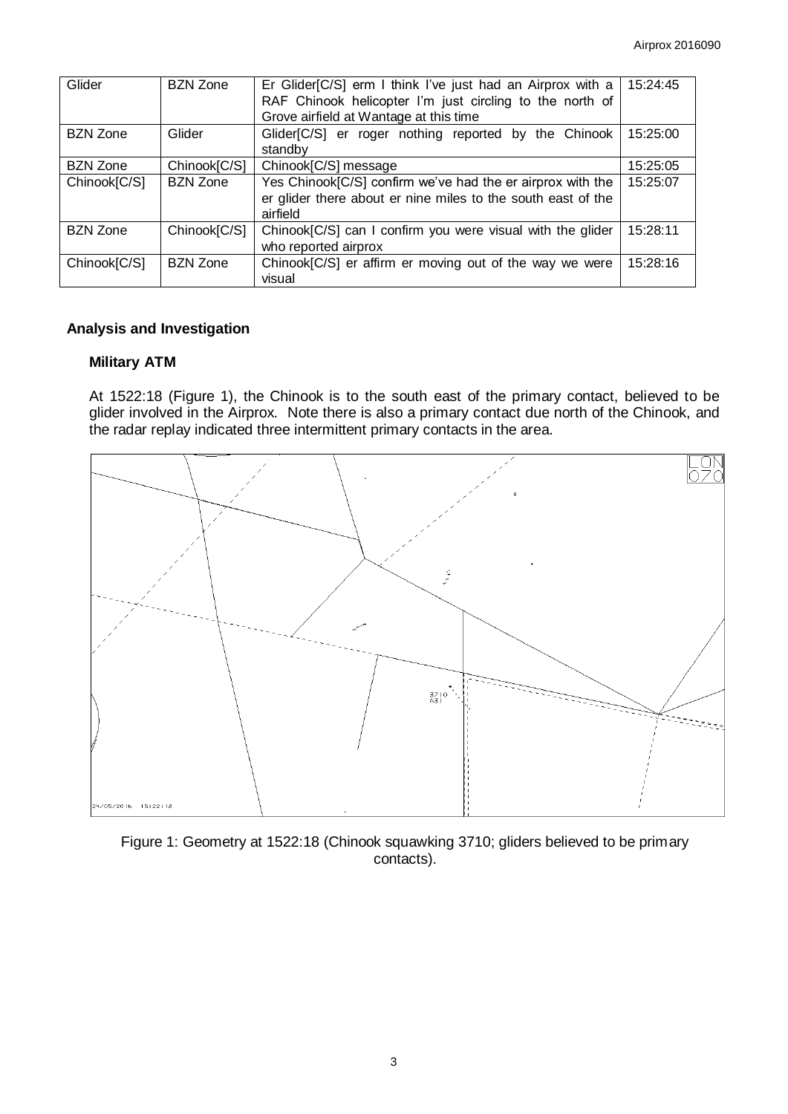| Glider          | <b>BZN Zone</b> | Er Glider[C/S] erm I think I've just had an Airprox with a<br>RAF Chinook helicopter I'm just circling to the north of<br>Grove airfield at Wantage at this time | 15:24:45 |
|-----------------|-----------------|------------------------------------------------------------------------------------------------------------------------------------------------------------------|----------|
| <b>BZN Zone</b> | Glider          | Glider[C/S] er roger nothing reported by the Chinook<br>standby                                                                                                  | 15:25:00 |
| <b>BZN Zone</b> | Chinook[C/S]    | Chinook[C/S] message                                                                                                                                             | 15:25:05 |
| Chinook[C/S]    | <b>BZN Zone</b> | Yes Chinook[C/S] confirm we've had the er airprox with the<br>er glider there about er nine miles to the south east of the<br>airfield                           | 15:25:07 |
| <b>BZN Zone</b> | Chinook[C/S]    | Chinook[C/S] can I confirm you were visual with the glider<br>who reported airprox                                                                               | 15:28:11 |
| Chinook[C/S]    | <b>BZN Zone</b> | Chinook[C/S] er affirm er moving out of the way we were<br>visual                                                                                                | 15:28:16 |

# **Analysis and Investigation**

### **Military ATM**

At 1522:18 (Figure 1), the Chinook is to the south east of the primary contact, believed to be glider involved in the Airprox. Note there is also a primary contact due north of the Chinook, and the radar replay indicated three intermittent primary contacts in the area.



Figure 1: Geometry at 1522:18 (Chinook squawking 3710; gliders believed to be primary contacts).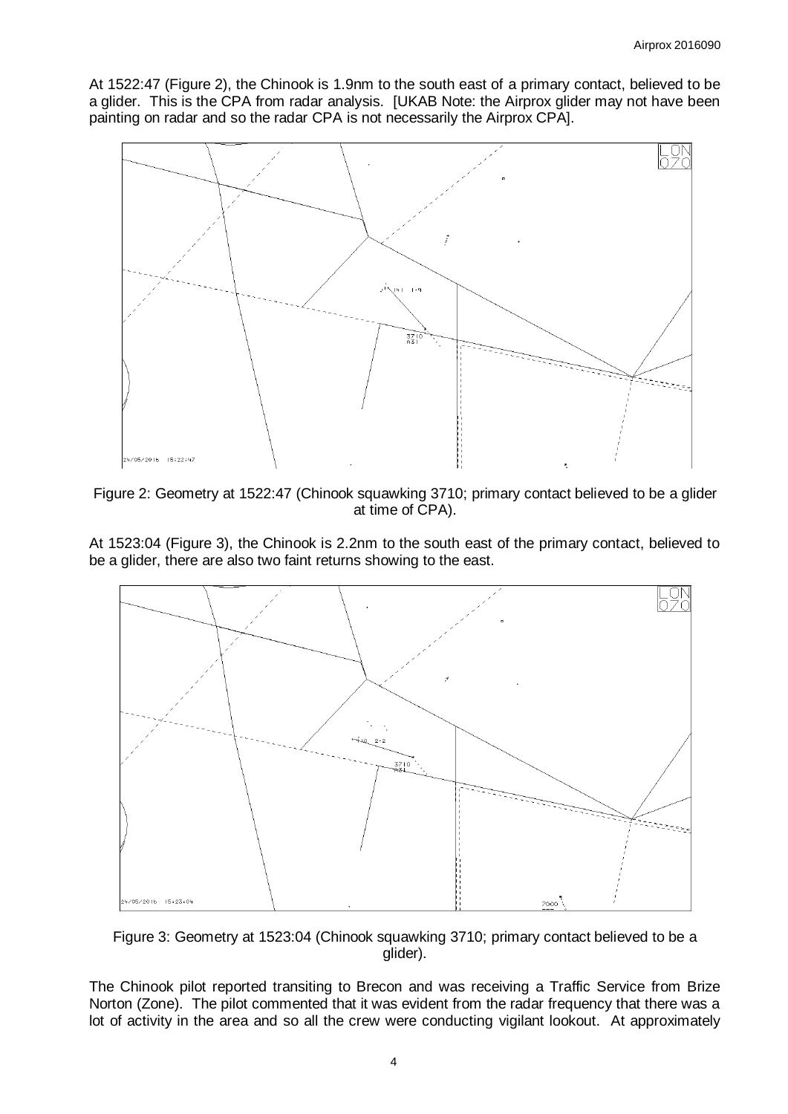At 1522:47 (Figure 2), the Chinook is 1.9nm to the south east of a primary contact, believed to be a glider. This is the CPA from radar analysis. [UKAB Note: the Airprox glider may not have been painting on radar and so the radar CPA is not necessarily the Airprox CPA].



Figure 2: Geometry at 1522:47 (Chinook squawking 3710; primary contact believed to be a glider at time of CPA).

At 1523:04 (Figure 3), the Chinook is 2.2nm to the south east of the primary contact, believed to be a glider, there are also two faint returns showing to the east.



Figure 3: Geometry at 1523:04 (Chinook squawking 3710; primary contact believed to be a glider).

The Chinook pilot reported transiting to Brecon and was receiving a Traffic Service from Brize Norton (Zone). The pilot commented that it was evident from the radar frequency that there was a lot of activity in the area and so all the crew were conducting vigilant lookout. At approximately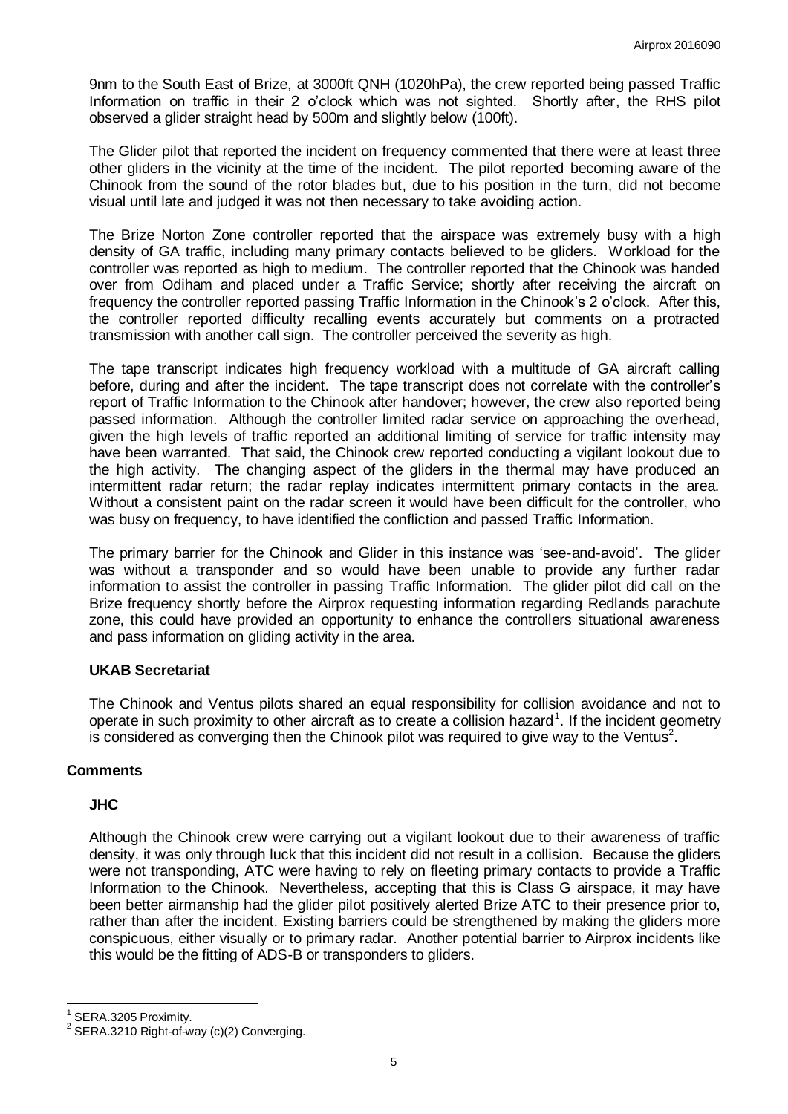9nm to the South East of Brize, at 3000ft QNH (1020hPa), the crew reported being passed Traffic Information on traffic in their 2 o'clock which was not sighted. Shortly after, the RHS pilot observed a glider straight head by 500m and slightly below (100ft).

The Glider pilot that reported the incident on frequency commented that there were at least three other gliders in the vicinity at the time of the incident. The pilot reported becoming aware of the Chinook from the sound of the rotor blades but, due to his position in the turn, did not become visual until late and judged it was not then necessary to take avoiding action.

The Brize Norton Zone controller reported that the airspace was extremely busy with a high density of GA traffic, including many primary contacts believed to be gliders. Workload for the controller was reported as high to medium. The controller reported that the Chinook was handed over from Odiham and placed under a Traffic Service; shortly after receiving the aircraft on frequency the controller reported passing Traffic Information in the Chinook's 2 o'clock. After this, the controller reported difficulty recalling events accurately but comments on a protracted transmission with another call sign. The controller perceived the severity as high.

The tape transcript indicates high frequency workload with a multitude of GA aircraft calling before, during and after the incident. The tape transcript does not correlate with the controller's report of Traffic Information to the Chinook after handover; however, the crew also reported being passed information. Although the controller limited radar service on approaching the overhead, given the high levels of traffic reported an additional limiting of service for traffic intensity may have been warranted. That said, the Chinook crew reported conducting a vigilant lookout due to the high activity. The changing aspect of the gliders in the thermal may have produced an intermittent radar return; the radar replay indicates intermittent primary contacts in the area. Without a consistent paint on the radar screen it would have been difficult for the controller, who was busy on frequency, to have identified the confliction and passed Traffic Information.

The primary barrier for the Chinook and Glider in this instance was 'see-and-avoid'. The glider was without a transponder and so would have been unable to provide any further radar information to assist the controller in passing Traffic Information. The glider pilot did call on the Brize frequency shortly before the Airprox requesting information regarding Redlands parachute zone, this could have provided an opportunity to enhance the controllers situational awareness and pass information on gliding activity in the area.

### **UKAB Secretariat**

The Chinook and Ventus pilots shared an equal responsibility for collision avoidance and not to operate in such proximity to other aircraft as to create a collision hazard<sup>1</sup>. If the incident geometry is considered as converging then the Chinook pilot was required to give way to the Ventus<sup>2</sup>.

### **Comments**

### **JHC**

Although the Chinook crew were carrying out a vigilant lookout due to their awareness of traffic density, it was only through luck that this incident did not result in a collision. Because the gliders were not transponding, ATC were having to rely on fleeting primary contacts to provide a Traffic Information to the Chinook. Nevertheless, accepting that this is Class G airspace, it may have been better airmanship had the glider pilot positively alerted Brize ATC to their presence prior to, rather than after the incident. Existing barriers could be strengthened by making the gliders more conspicuous, either visually or to primary radar. Another potential barrier to Airprox incidents like this would be the fitting of ADS-B or transponders to gliders.

 $\overline{a}$ 

<sup>1</sup> SERA.3205 Proximity.

 $2$  SERA.3210 Right-of-way (c)(2) Converging.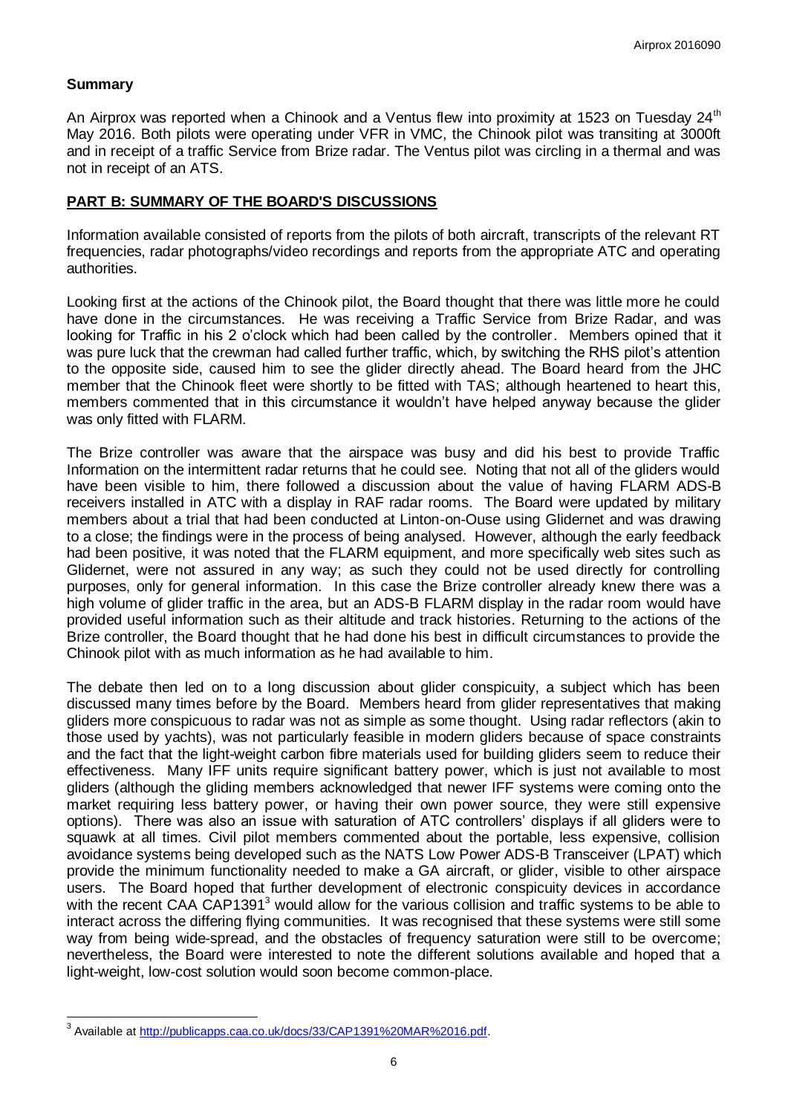### **Summary**

An Airprox was reported when a Chinook and a Ventus flew into proximity at 1523 on Tuesday 24<sup>th</sup> May 2016. Both pilots were operating under VFR in VMC, the Chinook pilot was transiting at 3000ft and in receipt of a traffic Service from Brize radar. The Ventus pilot was circling in a thermal and was not in receipt of an ATS.

### **PART B: SUMMARY OF THE BOARD'S DISCUSSIONS**

Information available consisted of reports from the pilots of both aircraft, transcripts of the relevant RT frequencies, radar photographs/video recordings and reports from the appropriate ATC and operating authorities.

Looking first at the actions of the Chinook pilot, the Board thought that there was little more he could have done in the circumstances. He was receiving a Traffic Service from Brize Radar, and was looking for Traffic in his 2 o'clock which had been called by the controller. Members opined that it was pure luck that the crewman had called further traffic, which, by switching the RHS pilot's attention to the opposite side, caused him to see the glider directly ahead. The Board heard from the JHC member that the Chinook fleet were shortly to be fitted with TAS; although heartened to heart this, members commented that in this circumstance it wouldn't have helped anyway because the glider was only fitted with FLARM.

The Brize controller was aware that the airspace was busy and did his best to provide Traffic Information on the intermittent radar returns that he could see. Noting that not all of the gliders would have been visible to him, there followed a discussion about the value of having FLARM ADS-B receivers installed in ATC with a display in RAF radar rooms. The Board were updated by military members about a trial that had been conducted at Linton-on-Ouse using Glidernet and was drawing to a close; the findings were in the process of being analysed. However, although the early feedback had been positive, it was noted that the FLARM equipment, and more specifically web sites such as Glidernet, were not assured in any way; as such they could not be used directly for controlling purposes, only for general information. In this case the Brize controller already knew there was a high volume of glider traffic in the area, but an ADS-B FLARM display in the radar room would have provided useful information such as their altitude and track histories. Returning to the actions of the Brize controller, the Board thought that he had done his best in difficult circumstances to provide the Chinook pilot with as much information as he had available to him.

The debate then led on to a long discussion about glider conspicuity, a subject which has been discussed many times before by the Board. Members heard from glider representatives that making gliders more conspicuous to radar was not as simple as some thought. Using radar reflectors (akin to those used by yachts), was not particularly feasible in modern gliders because of space constraints and the fact that the light-weight carbon fibre materials used for building gliders seem to reduce their effectiveness. Many IFF units require significant battery power, which is just not available to most gliders (although the gliding members acknowledged that newer IFF systems were coming onto the market requiring less battery power, or having their own power source, they were still expensive options). There was also an issue with saturation of ATC controllers' displays if all gliders were to squawk at all times. Civil pilot members commented about the portable, less expensive, collision avoidance systems being developed such as the NATS Low Power ADS-B Transceiver (LPAT) which provide the minimum functionality needed to make a GA aircraft, or glider, visible to other airspace users. The Board hoped that further development of electronic conspicuity devices in accordance with the recent CAA CAP1391<sup>3</sup> would allow for the various collision and traffic systems to be able to interact across the differing flying communities. It was recognised that these systems were still some way from being wide-spread, and the obstacles of frequency saturation were still to be overcome; nevertheless, the Board were interested to note the different solutions available and hoped that a light-weight, low-cost solution would soon become common-place.

 3 Available at [http://publicapps.caa.co.uk/docs/33/CAP1391%20MAR%2016.pdf.](http://publicapps.caa.co.uk/docs/33/CAP1391%20MAR%2016.pdf)